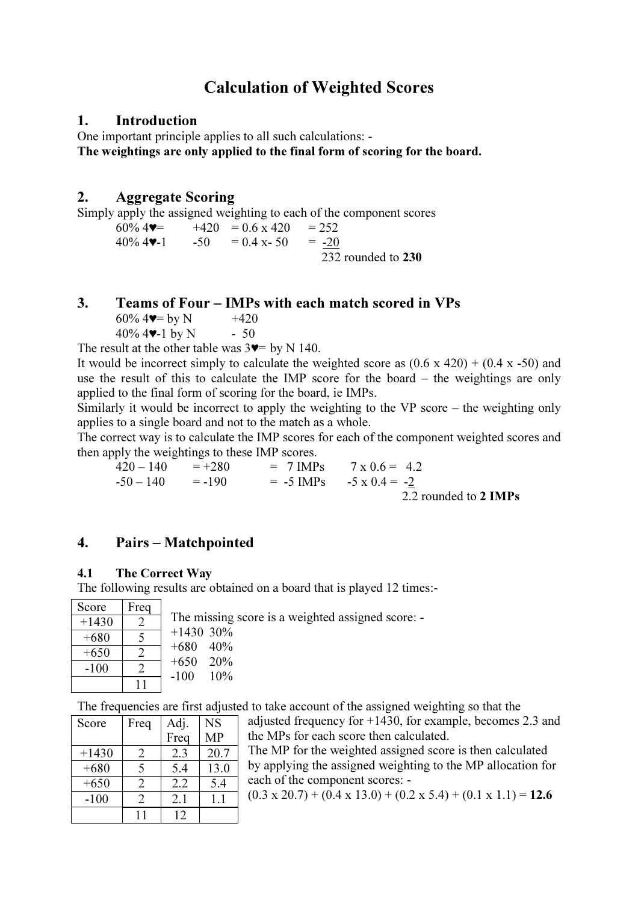# Calculation of Weighted Scores

## 1. Introduction

One important principle applies to all such calculations: - The weightings are only applied to the final form of scoring for the board.

## 2. Aggregate Scoring

Simply apply the assigned weighting to each of the component scores

60% 4<br>v=  $+420 = 0.6 \times 420 = 252$ <br>40% 4<br>v-1  $-50 = 0.4 \times 50 = -20$  $40\% \, 4$ .  $-50 = 0.4 \, x - 50$ 232 rounded to 230

## 3. Teams of Four – IMPs with each match scored in VPs

 $60\%$  4 $\blacktriangleright$  by N +420  $40\%$  4 $\blacktriangledown$ -1 by N - 50

The result at the other table was  $3\blacktriangledown$  by N 140.

It would be incorrect simply to calculate the weighted score as  $(0.6 \times 420) + (0.4 \times -50)$  and use the result of this to calculate the IMP score for the board – the weightings are only applied to the final form of scoring for the board, ie IMPs.

Similarly it would be incorrect to apply the weighting to the VP score – the weighting only applies to a single board and not to the match as a whole.

The correct way is to calculate the IMP scores for each of the component weighted scores and then apply the weightings to these IMP scores.

| $420 - 140 = +280$ |  | $= 7$ IMPs $7 \times 0.6 = 4.2$  |
|--------------------|--|----------------------------------|
| $-50 - 140 = -190$ |  | $= -5$ IMPs $-5 \times 0.4 = -2$ |
|                    |  | 2.2 rounded to 2 IMPs            |

## 4. Pairs – Matchpointed

### 4.1 The Correct Way

The following results are obtained on a board that is played 12 times:-

| Score   | Freq          |                                                   |
|---------|---------------|---------------------------------------------------|
| $+1430$ | $\mathcal{D}$ | The missing score is a weighted assigned score: - |
| $+680$  |               | $+1430,30\%$                                      |
| $+650$  |               | 40%<br>$+680$                                     |
| $-100$  | $\bigcap$     | 20 <sub>%</sub><br>$+650$<br>10%<br>$-100$        |
|         |               |                                                   |

The frequencies are first adjusted to take account of the assigned weighting so that the

| Score   | Freq                        | Adj. | <b>NS</b> | ٤              |
|---------|-----------------------------|------|-----------|----------------|
|         |                             | Freq | MP        | t              |
| $+1430$ | 2                           | 2.3  | 20.7      | $\overline{1}$ |
| $+680$  |                             | 5.4  | 13.0      | ł              |
| $+650$  |                             | 2.2  | 5.4       | $\epsilon$     |
| $-100$  | $\mathcal{D}_{\mathcal{A}}$ | 2.1  |           |                |
|         |                             | 12   |           |                |

adjusted frequency for +1430, for example, becomes 2.3 and the MPs for each score then calculated.

The MP for the weighted assigned score is then calculated by applying the assigned weighting to the MP allocation for each of the component scores: -

 $(0.3 \times 20.7) + (0.4 \times 13.0) + (0.2 \times 5.4) + (0.1 \times 1.1) = 12.6$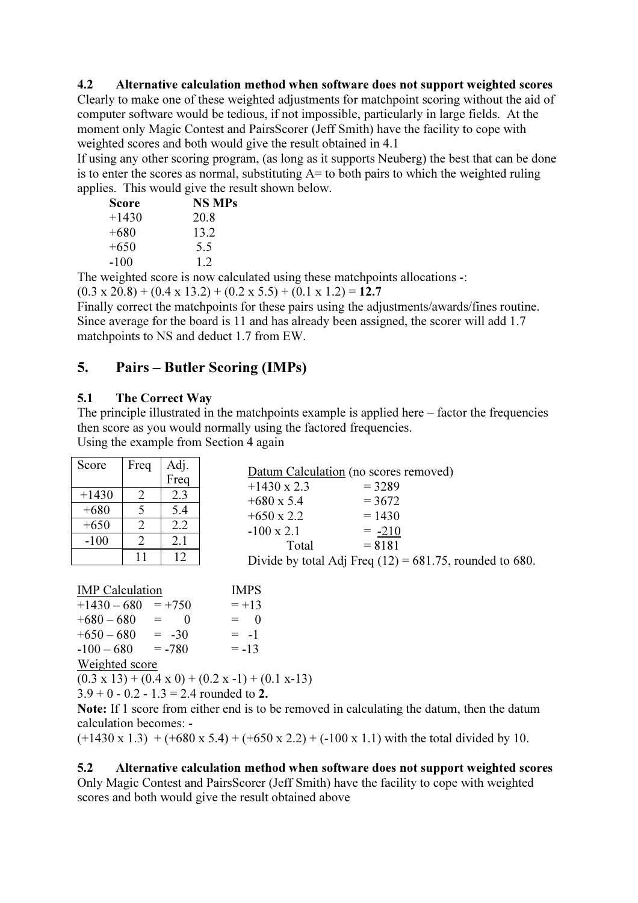### 4.2 Alternative calculation method when software does not support weighted scores

Clearly to make one of these weighted adjustments for matchpoint scoring without the aid of computer software would be tedious, if not impossible, particularly in large fields. At the moment only Magic Contest and PairsScorer (Jeff Smith) have the facility to cope with weighted scores and both would give the result obtained in 4.1

If using any other scoring program, (as long as it supports Neuberg) the best that can be done is to enter the scores as normal, substituting  $A=$  to both pairs to which the weighted ruling applies. This would give the result shown below.

| <b>Score</b> | <b>NS MPs</b> |
|--------------|---------------|
| $+1430$      | 20.8          |
| $+680$       | 13.2          |
| $+650$       | 5.5           |
| -100         | 1.2.          |

The weighted score is now calculated using these matchpoints allocations -:

 $(0.3 \times 20.8) + (0.4 \times 13.2) + (0.2 \times 5.5) + (0.1 \times 1.2) = 12.7$ 

Finally correct the matchpoints for these pairs using the adjustments/awards/fines routine. Since average for the board is 11 and has already been assigned, the scorer will add 1.7 matchpoints to NS and deduct 1.7 from EW.

## 5. Pairs – Butler Scoring (IMPs)

## 5.1 The Correct Way

The principle illustrated in the matchpoints example is applied here – factor the frequencies then score as you would normally using the factored frequencies. Using the example from Section 4 again

| Score   | Freq | Adj. | Datum Calculation (no scores removed)                      |
|---------|------|------|------------------------------------------------------------|
|         |      | Freq | $+1430 \times 2.3$<br>$= 3289$                             |
| $+1430$ |      | 2.3  | $+680 \times 5.4$<br>$= 3672$                              |
| $+680$  |      | 5.4  | $= 1430$<br>$+650 \times 2.2$                              |
| $+650$  |      | 2.2  | $= -210$<br>$-100 \times 2.1$                              |
| $-100$  |      |      | $= 8181$<br>Total                                          |
|         |      |      | Divide by total Adj Freq $(12) = 681.75$ , rounded to 680. |

|                   | <b>IMPS</b>                                                                                                                |
|-------------------|----------------------------------------------------------------------------------------------------------------------------|
|                   | $=+13$                                                                                                                     |
| $\mathbf{\Omega}$ | - 0<br>$=$                                                                                                                 |
|                   | $= -1$                                                                                                                     |
|                   | $= -13$                                                                                                                    |
|                   |                                                                                                                            |
|                   | $(0.3 \times 13) + (0.4 \times 0) + (0.2 \times -1) + (0.1 \times -13)$                                                    |
|                   | <b>IMP</b> Calculation<br>$+1430 - 680 = +750$<br>$\, = \,$<br>$+650 - 680 = -30$<br>$-100 - 680 = -780$<br>Weighted score |

 $3.9 + 0 - 0.2 - 1.3 = 2.4$  rounded to 2.

Note: If 1 score from either end is to be removed in calculating the datum, then the datum calculation becomes: -

 $(+1430 \times 1.3)$  +  $(+680 \times 5.4)$  +  $(+650 \times 2.2)$  +  $(-100 \times 1.1)$  with the total divided by 10.

#### 5.2 Alternative calculation method when software does not support weighted scores Only Magic Contest and PairsScorer (Jeff Smith) have the facility to cope with weighted scores and both would give the result obtained above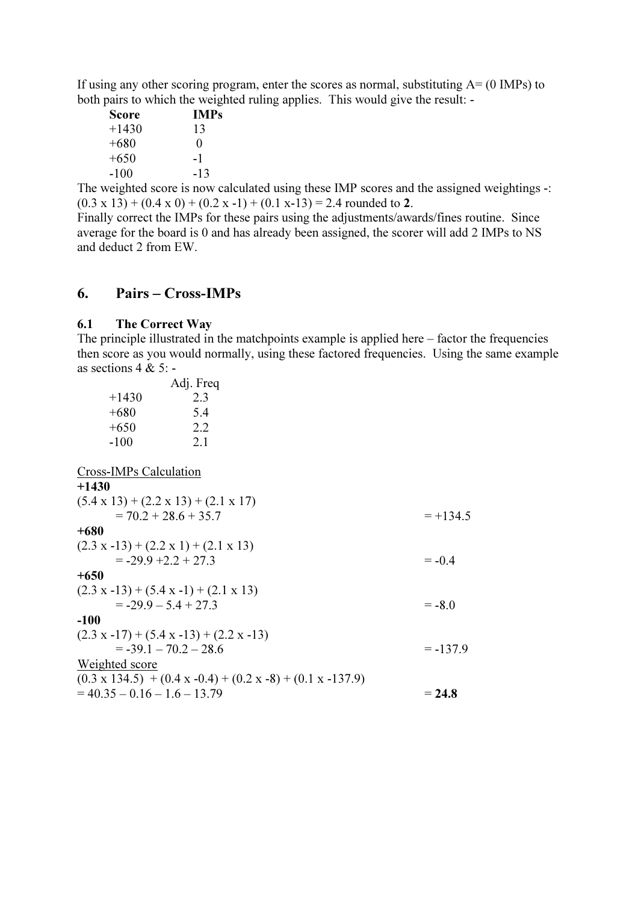If using any other scoring program, enter the scores as normal, substituting  $A = (0 \text{ IMPs})$  to both pairs to which the weighted ruling applies. This would give the result: -

| Score   | <b>IMPs</b>       |
|---------|-------------------|
| $+1430$ | 13                |
| $+680$  | $\mathbf{\Omega}$ |
| $+650$  | -1                |
| -100    | -13               |

The weighted score is now calculated using these IMP scores and the assigned weightings -:  $(0.3 \times 13) + (0.4 \times 0) + (0.2 \times -1) + (0.1 \times -13) = 2.4$  rounded to 2.

Finally correct the IMPs for these pairs using the adjustments/awards/fines routine. Since average for the board is 0 and has already been assigned, the scorer will add 2 IMPs to NS and deduct 2 from EW.

### 6. Pairs – Cross-IMPs

### 6.1 The Correct Way

The principle illustrated in the matchpoints example is applied here – factor the frequencies then score as you would normally, using these factored frequencies. Using the same example as sections  $4 & 5:-$ 

|                                | Adj. Freq                                                                              |            |
|--------------------------------|----------------------------------------------------------------------------------------|------------|
| $+1430$                        | 2.3                                                                                    |            |
| $+680$                         | 5.4                                                                                    |            |
| $+650$                         | 2.2                                                                                    |            |
| $-100$                         | 2.1                                                                                    |            |
|                                |                                                                                        |            |
| Cross-IMPs Calculation         |                                                                                        |            |
| $+1430$                        |                                                                                        |            |
|                                | $(5.4 \times 13) + (2.2 \times 13) + (2.1 \times 17)$                                  |            |
|                                | $= 70.2 + 28.6 + 35.7$                                                                 | $=+134.5$  |
| $+680$                         |                                                                                        |            |
|                                | $(2.3 x -13) + (2.2 x 1) + (2.1 x 13)$                                                 |            |
|                                | $= -29.9 + 2.2 + 27.3$                                                                 | $= -0.4$   |
| $+650$                         |                                                                                        |            |
|                                | $(2.3 x -13) + (5.4 x -1) + (2.1 x 13)$                                                |            |
|                                | $= -299 - 54 + 273$                                                                    | $= -8.0$   |
| $-100$                         |                                                                                        |            |
|                                | $(2.3 x -17) + (5.4 x -13) + (2.2 x -13)$                                              |            |
|                                | $= -39.1 - 70.2 - 28.6$                                                                | $= -137.9$ |
| Weighted score                 |                                                                                        |            |
|                                | $(0.3 \times 134.5)$ + $(0.4 \times -0.4)$ + $(0.2 \times -8)$ + $(0.1 \times -137.9)$ |            |
| $= 40.35 - 0.16 - 1.6 - 13.79$ |                                                                                        | $= 24.8$   |
|                                |                                                                                        |            |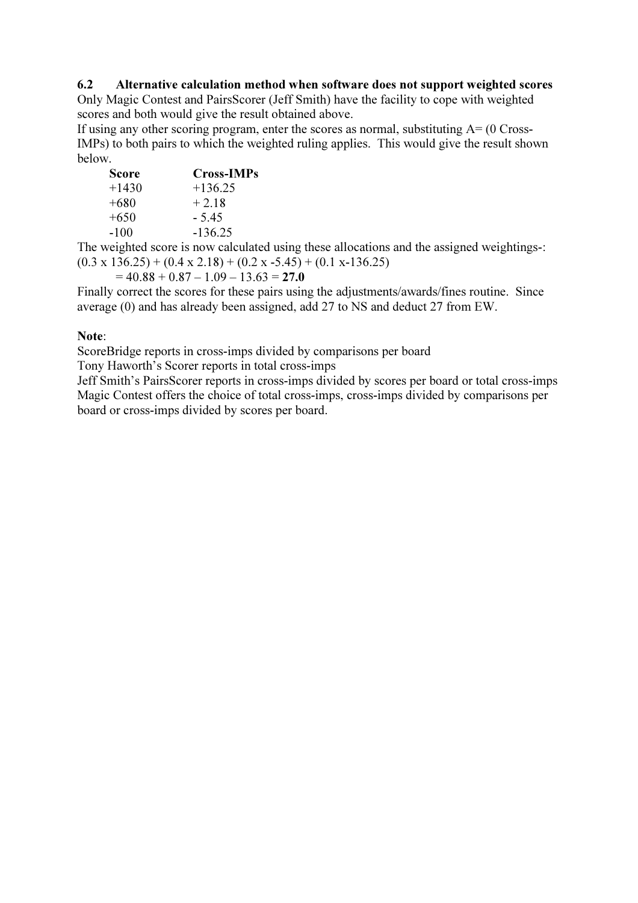### 6.2 Alternative calculation method when software does not support weighted scores

Only Magic Contest and PairsScorer (Jeff Smith) have the facility to cope with weighted scores and both would give the result obtained above.

If using any other scoring program, enter the scores as normal, substituting  $A = (0 \text{ Cross-}$ IMPs) to both pairs to which the weighted ruling applies. This would give the result shown below.

| <b>Score</b> | <b>Cross-IMPs</b> |
|--------------|-------------------|
| $+1430$      | $+136.25$         |
| $+680$       | $+2.18$           |
| $+650$       | $-5.45$           |
| $-100$       | $-136.25$         |
|              |                   |

The weighted score is now calculated using these allocations and the assigned weightings-:  $(0.3 \times 136.25) + (0.4 \times 2.18) + (0.2 \times -5.45) + (0.1 \times -136.25)$ 

 $= 40.88 + 0.87 - 1.09 - 13.63 = 27.0$ 

Finally correct the scores for these pairs using the adjustments/awards/fines routine. Since average (0) and has already been assigned, add 27 to NS and deduct 27 from EW.

### Note:

ScoreBridge reports in cross-imps divided by comparisons per board

Tony Haworth's Scorer reports in total cross-imps

Jeff Smith's PairsScorer reports in cross-imps divided by scores per board or total cross-imps Magic Contest offers the choice of total cross-imps, cross-imps divided by comparisons per board or cross-imps divided by scores per board.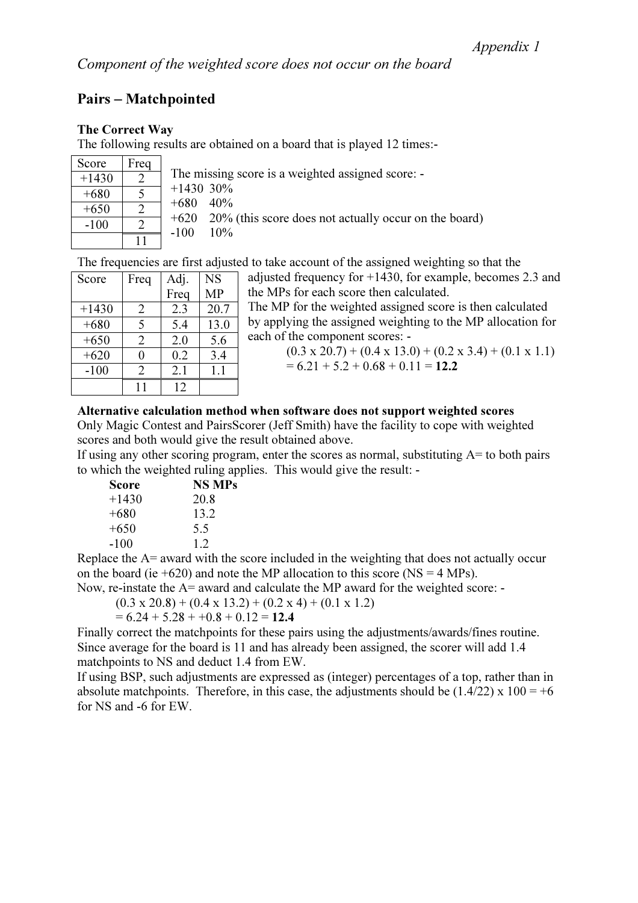## Pairs – Matchpointed

### The Correct Way

The following results are obtained on a board that is played 12 times:-

| Score   | Freq |                                                                   |
|---------|------|-------------------------------------------------------------------|
| $+1430$ |      | The missing score is a weighted assigned score: -                 |
| $+680$  |      | $+1430,30\%$                                                      |
| $+650$  |      | 40%<br>$+680$                                                     |
| $-100$  |      | +620 20% (this score does not actually occur on the board)<br>10% |
|         |      | $-100$                                                            |

The frequencies are first adjusted to take account of the assigned weighting so that the

| Score   | Freq | Adj. | <b>NS</b> |
|---------|------|------|-----------|
|         |      | Freq | <b>MP</b> |
| $+1430$ | 2    | 2.3  | 20.7      |
| $+680$  | 5    | 5.4  | 13.0      |
| $+650$  | 2    | 2.0  | 5.6       |
| $+620$  | 0    | 0.2  | 3.4       |
| $-100$  | 2    | 2.1  | 1.1       |
|         |      | 12   |           |

| adjusted frequency for $+1430$ , for example, becomes 2.3 and                 |  |
|-------------------------------------------------------------------------------|--|
| the MPs for each score then calculated.                                       |  |
| The MP for the weighted assigned score is then calculated                     |  |
| by applying the assigned weighting to the MP allocation for                   |  |
| each of the component scores: -                                               |  |
| $(0.3 \times 20.7) + (0.4 \times 13.0) + (0.2 \times 3.4) + (0.1 \times 1.1)$ |  |

 $= 6.21 + 5.2 + 0.68 + 0.11 = 12.2$ 

### Alternative calculation method when software does not support weighted scores

Only Magic Contest and PairsScorer (Jeff Smith) have the facility to cope with weighted scores and both would give the result obtained above.

If using any other scoring program, enter the scores as normal, substituting  $A=$  to both pairs to which the weighted ruling applies. This would give the result: -

| <b>Score</b> | <b>NS MPs</b> |
|--------------|---------------|
| $+1430$      | 20.8          |
| $+680$       | 13.2          |
| $+650$       | 5.5           |
| -100         | 1.2.          |

Replace the A= award with the score included in the weighting that does not actually occur on the board (ie  $+620$ ) and note the MP allocation to this score (NS = 4 MPs).

Now, re-instate the A= award and calculate the MP award for the weighted score: -

 $(0.3 \times 20.8) + (0.4 \times 13.2) + (0.2 \times 4) + (0.1 \times 1.2)$ 

$$
= 6.24 + 5.28 + 0.8 + 0.12 = 12.4
$$

Finally correct the matchpoints for these pairs using the adjustments/awards/fines routine. Since average for the board is 11 and has already been assigned, the scorer will add 1.4 matchpoints to NS and deduct 1.4 from EW.

If using BSP, such adjustments are expressed as (integer) percentages of a top, rather than in absolute matchpoints. Therefore, in this case, the adjustments should be  $(1.4/22) \times 100 = +6$ for NS and -6 for EW.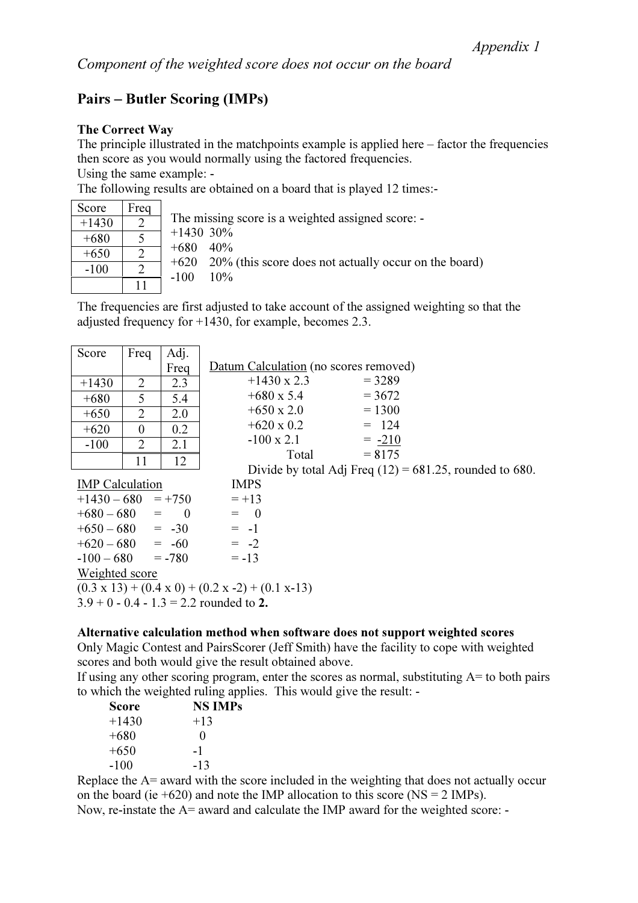## Pairs – Butler Scoring (IMPs)

### The Correct Way

The principle illustrated in the matchpoints example is applied here – factor the frequencies then score as you would normally using the factored frequencies.

Using the same example: -

The following results are obtained on a board that is played 12 times:-

| Score   | Freq |                                                                             |
|---------|------|-----------------------------------------------------------------------------|
| $+1430$ | ⌒    | The missing score is a weighted assigned score: -                           |
| $+680$  |      | $+1430,30\%$                                                                |
| $+650$  |      | 40%<br>$+680$                                                               |
| $-100$  |      | +620 20% (this score does not actually occur on the board)<br>$-100$<br>10% |
|         |      |                                                                             |

The frequencies are first adjusted to take account of the assigned weighting so that the adjusted frequency for +1430, for example, becomes 2.3.

| Score                                                                   | Freq           | Adj. |                                       |                                                            |
|-------------------------------------------------------------------------|----------------|------|---------------------------------------|------------------------------------------------------------|
|                                                                         |                | Freq | Datum Calculation (no scores removed) |                                                            |
| $+1430$                                                                 | $\overline{2}$ | 2.3  | $+1430 \times 2.3$                    | $= 3289$                                                   |
| $+680$                                                                  | 5              | 5.4  | $+680 \times 5.4$                     | $= 3672$                                                   |
| $+650$                                                                  | $\overline{2}$ | 2.0  | $+650 \times 2.0$                     | $= 1300$                                                   |
| $+620$                                                                  | $\theta$       | 0.2  | $+620 \times 0.2$                     | $= 124$                                                    |
| $-100$                                                                  | $\overline{2}$ | 2.1  | $-100 \times 2.1$                     | $= -210$                                                   |
|                                                                         | 11             | 12   | Total                                 | $= 8175$                                                   |
|                                                                         |                |      |                                       | Divide by total Adj Freq $(12) = 681.25$ , rounded to 680. |
| <b>IMP</b> Calculation                                                  |                |      | <b>IMPS</b>                           |                                                            |
| $+1430 - 680 = +750$                                                    |                |      | $=+13$                                |                                                            |
| $+680 - 680 = 0$                                                        |                |      | $=$ 0                                 |                                                            |
| $+650 - 680 = -30$                                                      |                |      | $= -1$                                |                                                            |
| $+620-680 = -60$                                                        |                |      | $= -2$                                |                                                            |
| $-100 - 680 = -780$                                                     |                |      | $= -13$                               |                                                            |
| Weighted score                                                          |                |      |                                       |                                                            |
| $(0.3 \times 13) + (0.4 \times 0) + (0.2 \times -2) + (0.1 \times -13)$ |                |      |                                       |                                                            |
| $3.9 + 0 - 0.4 - 1.3 = 2.2$ rounded to 2.                               |                |      |                                       |                                                            |

#### Alternative calculation method when software does not support weighted scores

Only Magic Contest and PairsScorer (Jeff Smith) have the facility to cope with weighted scores and both would give the result obtained above.

If using any other scoring program, enter the scores as normal, substituting  $A=$  to both pairs to which the weighted ruling applies. This would give the result: -

| <b>Score</b> | <b>NS IMPs</b>    |
|--------------|-------------------|
| $+1430$      | $+13$             |
| $+680$       | $\mathbf{\Omega}$ |
| $+650$       | -1                |
| -100         | -13               |

Replace the A= award with the score included in the weighting that does not actually occur on the board (ie  $+620$ ) and note the IMP allocation to this score (NS = 2 IMPs). Now, re-instate the A= award and calculate the IMP award for the weighted score: -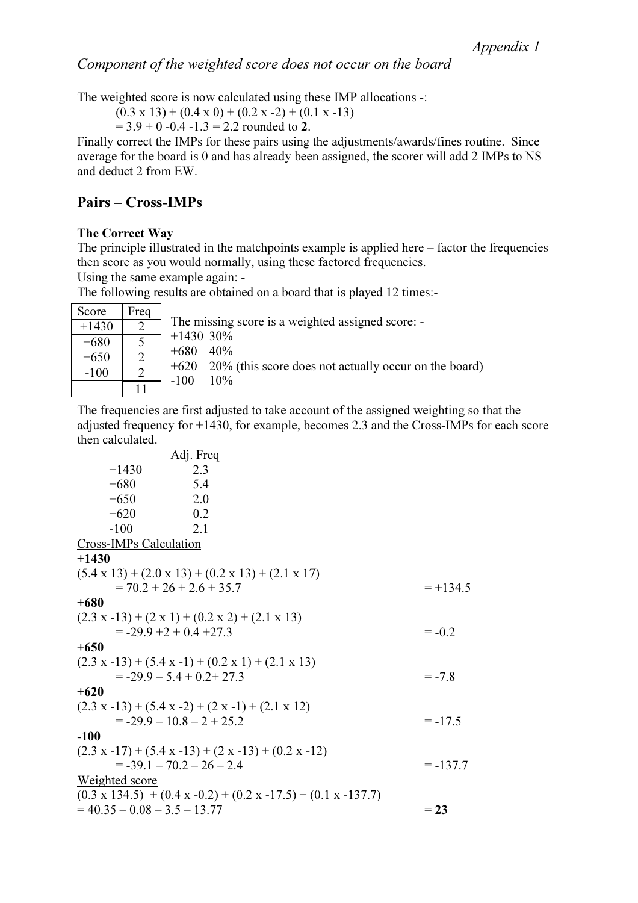Component of the weighted score does not occur on the board

The weighted score is now calculated using these IMP allocations -:

 $(0.3 \times 13) + (0.4 \times 0) + (0.2 \times -2) + (0.1 \times -13)$ 

 $= 3.9 + 0.4 - 1.3 = 2.2$  rounded to 2.

Finally correct the IMPs for these pairs using the adjustments/awards/fines routine. Since average for the board is 0 and has already been assigned, the scorer will add 2 IMPs to NS and deduct 2 from EW.

## Pairs – Cross-IMPs

### The Correct Way

The principle illustrated in the matchpoints example is applied here – factor the frequencies then score as you would normally, using these factored frequencies.

Using the same example again: -

The following results are obtained on a board that is played 12 times:-

| Score   | Freq |                                                                     |
|---------|------|---------------------------------------------------------------------|
| $+1430$ |      | The missing score is a weighted assigned score: -                   |
| $+680$  |      | $+1430,30\%$                                                        |
| $+650$  |      | $+680$ 40%                                                          |
| $-100$  |      | $+620$ 20% (this score does not actually occur on the board)<br>10% |
|         |      | $-100$                                                              |

The frequencies are first adjusted to take account of the assigned weighting so that the adjusted frequency for +1430, for example, becomes 2.3 and the Cross-IMPs for each score then calculated.

|                                | Adj. Freq                                                                                 |            |
|--------------------------------|-------------------------------------------------------------------------------------------|------------|
| $+1430$                        | 2.3                                                                                       |            |
| $+680$                         | 5.4                                                                                       |            |
| $+650$                         | 2.0                                                                                       |            |
| $+620$                         | 0.2                                                                                       |            |
| $-100$                         | 2.1                                                                                       |            |
| Cross-IMPs Calculation         |                                                                                           |            |
| $+1430$                        |                                                                                           |            |
|                                | $(5.4 \times 13) + (2.0 \times 13) + (0.2 \times 13) + (2.1 \times 17)$                   |            |
|                                | $= 70.2 + 26 + 2.6 + 35.7$                                                                | $=+134.5$  |
| $+680$                         |                                                                                           |            |
|                                | $(2.3 x -13) + (2 x 1) + (0.2 x 2) + (2.1 x 13)$                                          |            |
|                                | $= -29.9 + 2 + 0.4 + 27.3$                                                                | $= -0.2$   |
| $+650$                         |                                                                                           |            |
|                                | $(2.3 x -13) + (5.4 x -1) + (0.2 x 1) + (2.1 x 13)$                                       |            |
|                                | $= -29.9 - 5.4 + 0.2 + 27.3$                                                              | $= -7.8$   |
| $+620$                         |                                                                                           |            |
|                                | $(2.3 x -13) + (5.4 x -2) + (2 x -1) + (2.1 x 12)$                                        |            |
|                                | $= -29.9 - 10.8 - 2 + 25.2$                                                               | $= -17.5$  |
| $-100$                         |                                                                                           |            |
|                                | $(2.3 x -17) + (5.4 x -13) + (2 x -13) + (0.2 x -12)$                                     |            |
|                                | $= -39.1 - 70.2 - 26 - 2.4$                                                               | $= -137.7$ |
| <b>Weighted score</b>          |                                                                                           |            |
|                                | $(0.3 \times 134.5)$ + $(0.4 \times -0.2)$ + $(0.2 \times -17.5)$ + $(0.1 \times -137.7)$ |            |
| $= 40.35 - 0.08 - 3.5 - 13.77$ |                                                                                           | $= 23$     |
|                                |                                                                                           |            |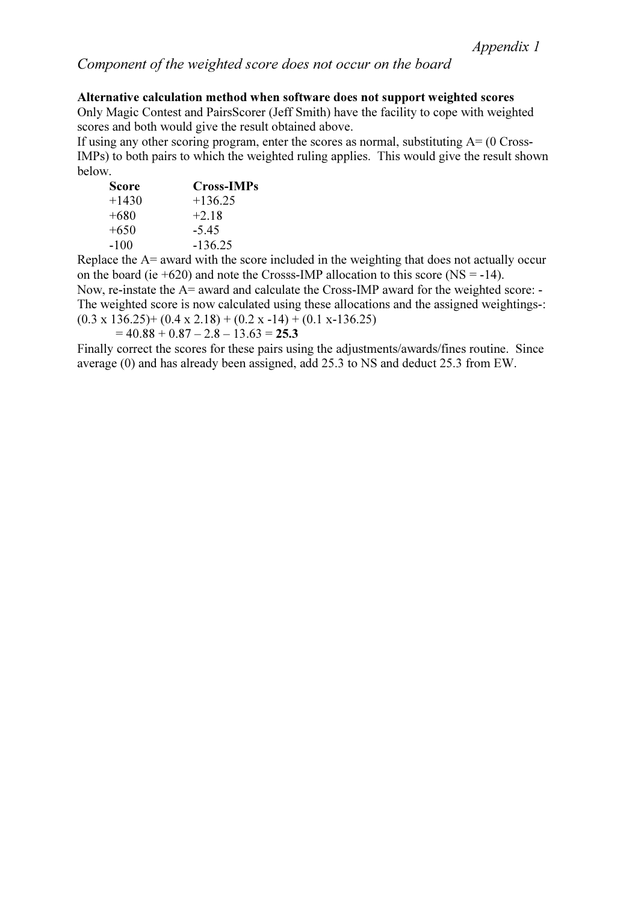### Alternative calculation method when software does not support weighted scores

Only Magic Contest and PairsScorer (Jeff Smith) have the facility to cope with weighted scores and both would give the result obtained above.

If using any other scoring program, enter the scores as normal, substituting  $A = (0 \text{ Cross-}$ IMPs) to both pairs to which the weighted ruling applies. This would give the result shown below.

| Score   | <b>Cross-IMPs</b> |
|---------|-------------------|
| $+1430$ | $+136.25$         |
| $+680$  | $+2.18$           |
| $+650$  | $-5.45$           |
| $-100$  | $-136.25$         |

Replace the A= award with the score included in the weighting that does not actually occur on the board (ie  $+620$ ) and note the Crosss-IMP allocation to this score (NS = -14). Now, re-instate the A= award and calculate the Cross-IMP award for the weighted score: - The weighted score is now calculated using these allocations and the assigned weightings-:  $(0.3 \times 136.25) + (0.4 \times 2.18) + (0.2 \times -14) + (0.1 \times -136.25)$ 

#### $= 40.88 + 0.87 - 2.8 - 13.63 = 25.3$

Finally correct the scores for these pairs using the adjustments/awards/fines routine. Since average (0) and has already been assigned, add 25.3 to NS and deduct 25.3 from EW.